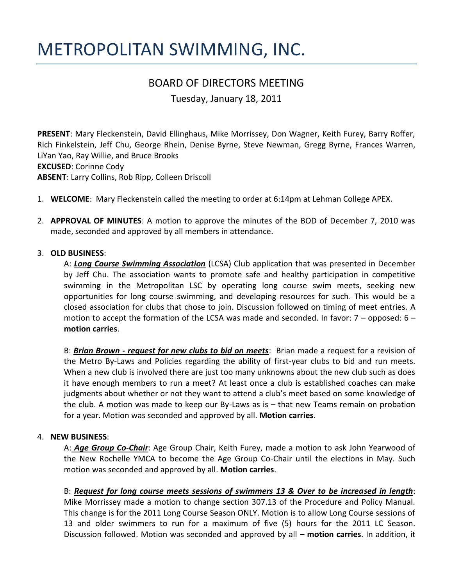# METROPOLITAN SWIMMING, INC.

# BOARD OF DIRECTORS MEETING

Tuesday, January 18, 2011

**PRESENT**: Mary Fleckenstein, David Ellinghaus, Mike Morrissey, Don Wagner, Keith Furey, Barry Roffer, Rich Finkelstein, Jeff Chu, George Rhein, Denise Byrne, Steve Newman, Gregg Byrne, Frances Warren, LiYan Yao, Ray Willie, and Bruce Brooks **EXCUSED**: Corinne Cody **ABSENT**: Larry Collins, Rob Ripp, Colleen Driscoll

- 1. **WELCOME**: Mary Fleckenstein called the meeting to order at 6:14pm at Lehman College APEX.
- 2. **APPROVAL OF MINUTES**: A motion to approve the minutes of the BOD of December 7, 2010 was made, seconded and approved by all members in attendance.

#### 3. **OLD BUSINESS**:

A: *Long Course Swimming Association* (LCSA) Club application that was presented in December by Jeff Chu. The association wants to promote safe and healthy participation in competitive swimming in the Metropolitan LSC by operating long course swim meets, seeking new opportunities for long course swimming, and developing resources for such. This would be a closed association for clubs that chose to join. Discussion followed on timing of meet entries. A motion to accept the formation of the LCSA was made and seconded. In favor:  $7$  – opposed:  $6$  – **motion carries**.

B: *Brian Brown - request for new clubs to bid on meets*: Brian made a request for a revision of the Metro By-Laws and Policies regarding the ability of first-year clubs to bid and run meets. When a new club is involved there are just too many unknowns about the new club such as does it have enough members to run a meet? At least once a club is established coaches can make judgments about whether or not they want to attend a club's meet based on some knowledge of the club. A motion was made to keep our By-Laws as is – that new Teams remain on probation for a year. Motion was seconded and approved by all. **Motion carries**.

#### 4. **NEW BUSINESS**:

A: *Age Group Co-Chair*: Age Group Chair, Keith Furey, made a motion to ask John Yearwood of the New Rochelle YMCA to become the Age Group Co-Chair until the elections in May. Such motion was seconded and approved by all. **Motion carries**.

## B: *Request for long course meets sessions of swimmers 13 & Over to be increased in length*:

Mike Morrissey made a motion to change section 307.13 of the Procedure and Policy Manual. This change is for the 2011 Long Course Season ONLY. Motion is to allow Long Course sessions of 13 and older swimmers to run for a maximum of five (5) hours for the 2011 LC Season. Discussion followed. Motion was seconded and approved by all – **motion carries**. In addition, it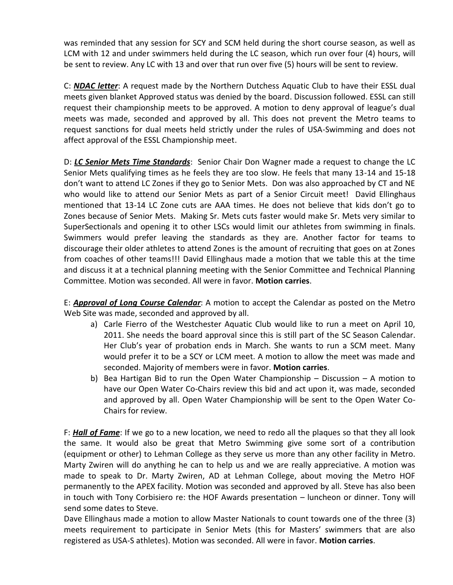was reminded that any session for SCY and SCM held during the short course season, as well as LCM with 12 and under swimmers held during the LC season, which run over four (4) hours, will be sent to review. Any LC with 13 and over that run over five (5) hours will be sent to review.

C: *NDAC letter*: A request made by the Northern Dutchess Aquatic Club to have their ESSL dual meets given blanket Approved status was denied by the board. Discussion followed. ESSL can still request their championship meets to be approved. A motion to deny approval of league's dual meets was made, seconded and approved by all. This does not prevent the Metro teams to request sanctions for dual meets held strictly under the rules of USA-Swimming and does not affect approval of the ESSL Championship meet.

D: *LC Senior Mets Time Standards*: Senior Chair Don Wagner made a request to change the LC Senior Mets qualifying times as he feels they are too slow. He feels that many 13-14 and 15-18 don't want to attend LC Zones if they go to Senior Mets. Don was also approached by CT and NE who would like to attend our Senior Mets as part of a Senior Circuit meet! David Ellinghaus mentioned that 13-14 LC Zone cuts are AAA times. He does not believe that kids don't go to Zones because of Senior Mets. Making Sr. Mets cuts faster would make Sr. Mets very similar to SuperSectionals and opening it to other LSCs would limit our athletes from swimming in finals. Swimmers would prefer leaving the standards as they are. Another factor for teams to discourage their older athletes to attend Zones is the amount of recruiting that goes on at Zones from coaches of other teams!!! David Ellinghaus made a motion that we table this at the time and discuss it at a technical planning meeting with the Senior Committee and Technical Planning Committee. Motion was seconded. All were in favor. **Motion carries**.

E: *Approval of Long Course Calendar*: A motion to accept the Calendar as posted on the Metro Web Site was made, seconded and approved by all.

- a) Carle Fierro of the Westchester Aquatic Club would like to run a meet on April 10, 2011. She needs the board approval since this is still part of the SC Season Calendar. Her Club's year of probation ends in March. She wants to run a SCM meet. Many would prefer it to be a SCY or LCM meet. A motion to allow the meet was made and seconded. Majority of members were in favor. **Motion carries**.
- b) Bea Hartigan Bid to run the Open Water Championship Discussion A motion to have our Open Water Co-Chairs review this bid and act upon it, was made, seconded and approved by all. Open Water Championship will be sent to the Open Water Co-Chairs for review.

F: *Hall of Fame*: If we go to a new location, we need to redo all the plaques so that they all look the same. It would also be great that Metro Swimming give some sort of a contribution (equipment or other) to Lehman College as they serve us more than any other facility in Metro. Marty Zwiren will do anything he can to help us and we are really appreciative. A motion was made to speak to Dr. Marty Zwiren, AD at Lehman College, about moving the Metro HOF permanently to the APEX facility. Motion was seconded and approved by all. Steve has also been in touch with Tony Corbisiero re: the HOF Awards presentation – luncheon or dinner. Tony will send some dates to Steve.

Dave Ellinghaus made a motion to allow Master Nationals to count towards one of the three (3) meets requirement to participate in Senior Mets (this for Masters' swimmers that are also registered as USA-S athletes). Motion was seconded. All were in favor. **Motion carries**.